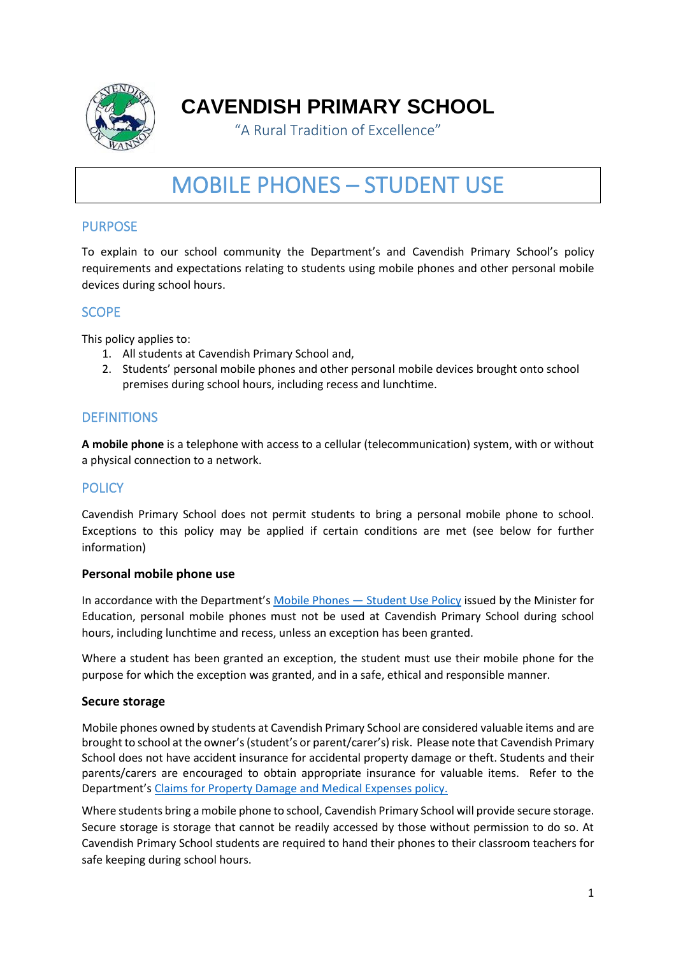

# **CAVENDISH PRIMARY SCHOOL**

"A Rural Tradition of Excellence"

# MOBILE PHONES – STUDENT USE

# PURPOSE

To explain to our school community the Department's and Cavendish Primary School's policy requirements and expectations relating to students using mobile phones and other personal mobile devices during school hours.

# **SCOPE**

This policy applies to:

- 1. All students at Cavendish Primary School and,
- 2. Students' personal mobile phones and other personal mobile devices brought onto school premises during school hours, including recess and lunchtime.

## **DEFINITIONS**

**A mobile phone** is a telephone with access to a cellular (telecommunication) system, with or without a physical connection to a network.

## **POLICY**

Cavendish Primary School does not permit students to bring a personal mobile phone to school. Exceptions to this policy may be applied if certain conditions are met (see below for further information)

#### **Personal mobile phone use**

In accordance with the Department's [Mobile Phones](https://www2.education.vic.gov.au/pal/students-using-mobile-phones/policy) — Student Use Policy issued by the Minister for Education, personal mobile phones must not be used at Cavendish Primary School during school hours, including lunchtime and recess, unless an exception has been granted.

Where a student has been granted an exception, the student must use their mobile phone for the purpose for which the exception was granted, and in a safe, ethical and responsible manner.

#### **Secure storage**

Mobile phones owned by students at Cavendish Primary School are considered valuable items and are brought to school at the owner's (student's or parent/carer's) risk. Please note that Cavendish Primary School does not have accident insurance for accidental property damage or theft. Students and their parents/carers are encouraged to obtain appropriate insurance for valuable items. Refer to the Department's [Claims for Property Damage and Medical Expenses](https://www2.education.vic.gov.au/pal/claims-property-damage-and-medical-expenses/policy) policy.

Where students bring a mobile phone to school, Cavendish Primary School will provide secure storage. Secure storage is storage that cannot be readily accessed by those without permission to do so. At Cavendish Primary School students are required to hand their phones to their classroom teachers for safe keeping during school hours.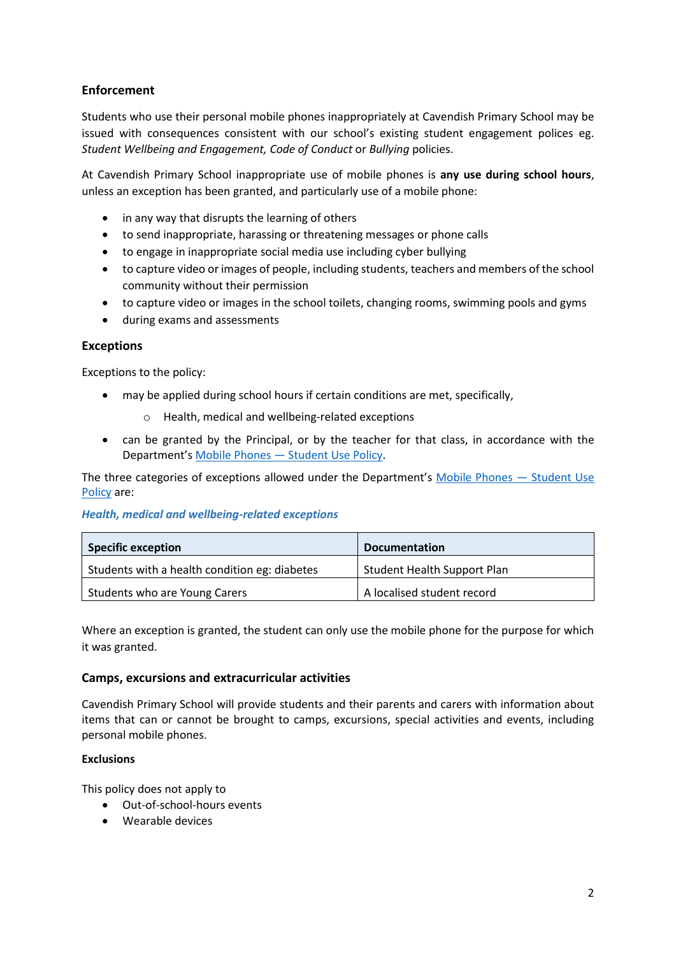## **Enforcement**

Students who use their personal mobile phones inappropriately at Cavendish Primary School may be issued with consequences consistent with our school's existing student engagement polices eg. *Student Wellbeing and Engagement, Code of Conduct* or *Bullying* policies.

At Cavendish Primary School inappropriate use of mobile phones is **any use during school hours**, unless an exception has been granted, and particularly use of a mobile phone:

- in any way that disrupts the learning of others
- to send inappropriate, harassing or threatening messages or phone calls
- to engage in inappropriate social media use including cyber bullying
- to capture video or images of people, including students, teachers and members of the school community without their permission
- to capture video or images in the school toilets, changing rooms, swimming pools and gyms
- during exams and assessments

#### **Exceptions**

Exceptions to the policy:

- may be applied during school hours if certain conditions are met, specifically,
	- o Health, medical and wellbeing-related exceptions
- can be granted by the Principal, or by the teacher for that class, in accordance with the Department's Mobile Phones — [Student Use Policy.](https://www2.education.vic.gov.au/pal/students-using-mobile-phones/policy)

The three categories of exceptions allowed under the Department's [Mobile Phones](https://www2.education.vic.gov.au/pal/students-using-mobile-phones/policy) — Student Use [Policy](https://www2.education.vic.gov.au/pal/students-using-mobile-phones/policy) are:

#### *Health, medical and wellbeing-related exceptions*

| <b>Specific exception</b>                     | <b>Documentation</b>               |
|-----------------------------------------------|------------------------------------|
| Students with a health condition eg: diabetes | <b>Student Health Support Plan</b> |
| Students who are Young Carers                 | A localised student record         |

Where an exception is granted, the student can only use the mobile phone for the purpose for which it was granted.

#### **Camps, excursions and extracurricular activities**

Cavendish Primary School will provide students and their parents and carers with information about items that can or cannot be brought to camps, excursions, special activities and events, including personal mobile phones.

#### **Exclusions**

This policy does not apply to

- Out-of-school-hours events
- Wearable devices